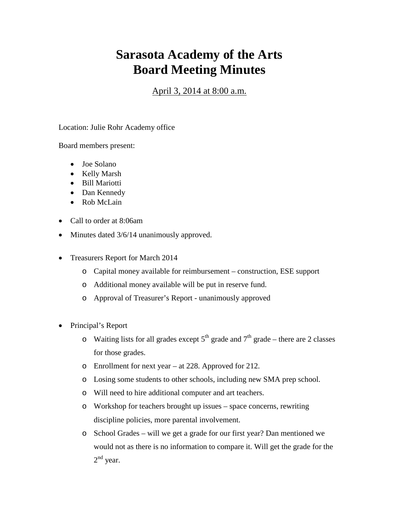## **Sarasota Academy of the Arts Board Meeting Minutes**

April 3, 2014 at 8:00 a.m.

Location: Julie Rohr Academy office

Board members present:

- Joe Solano
- Kelly Marsh
- Bill Mariotti
- Dan Kennedy
- Rob McLain
- Call to order at 8:06am
- Minutes dated  $3/6/14$  unanimously approved.
- Treasurers Report for March 2014
	- o Capital money available for reimbursement construction, ESE support
	- o Additional money available will be put in reserve fund.
	- o Approval of Treasurer's Report unanimously approved
- Principal's Report
	- o Waiting lists for all grades except  $5<sup>th</sup>$  grade and  $7<sup>th</sup>$  grade there are 2 classes for those grades.
	- o Enrollment for next year at 228. Approved for 212.
	- o Losing some students to other schools, including new SMA prep school.
	- o Will need to hire additional computer and art teachers.
	- o Workshop for teachers brought up issues space concerns, rewriting discipline policies, more parental involvement.
	- o School Grades will we get a grade for our first year? Dan mentioned we would not as there is no information to compare it. Will get the grade for the  $2<sup>nd</sup>$  year.